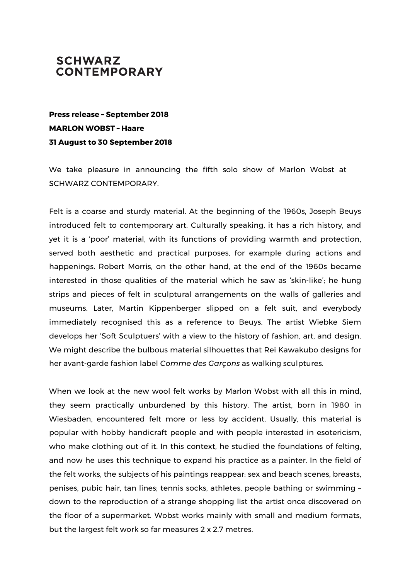## **SCHWARZ CONTEMPORARY**

**Press release – September 2018 MARLON WOBST – Haare 31 August to 30 September 2018**

We take pleasure in announcing the fifth solo show of Marlon Wobst at SCHWARZ CONTEMPORARY.

Felt is a coarse and sturdy material. At the beginning of the 1960s, Joseph Beuys introduced felt to contemporary art. Culturally speaking, it has a rich history, and yet it is a 'poor' material, with its functions of providing warmth and protection, served both aesthetic and practical purposes, for example during actions and happenings. Robert Morris, on the other hand, at the end of the 1960s became interested in those qualities of the material which he saw as 'skin-like'; he hung strips and pieces of felt in sculptural arrangements on the walls of galleries and museums. Later, Martin Kippenberger slipped on a felt suit, and everybody immediately recognised this as a reference to Beuys. The artist Wiebke Siem develops her 'Soft Sculptuers' with a view to the history of fashion, art, and design. We might describe the bulbous material silhouettes that Rei Kawakubo designs for her avant-garde fashion label *Comme des Garçons* as walking sculptures.

When we look at the new wool felt works by Marlon Wobst with all this in mind, they seem practically unburdened by this history. The artist, born in 1980 in Wiesbaden, encountered felt more or less by accident. Usually, this material is popular with hobby handicraft people and with people interested in esotericism, who make clothing out of it. In this context, he studied the foundations of felting, and now he uses this technique to expand his practice as a painter. In the field of the felt works, the subjects of his paintings reappear: sex and beach scenes, breasts, penises, pubic hair, tan lines; tennis socks, athletes, people bathing or swimming – down to the reproduction of a strange shopping list the artist once discovered on the floor of a supermarket. Wobst works mainly with small and medium formats, but the largest felt work so far measures 2 x 2.7 metres.